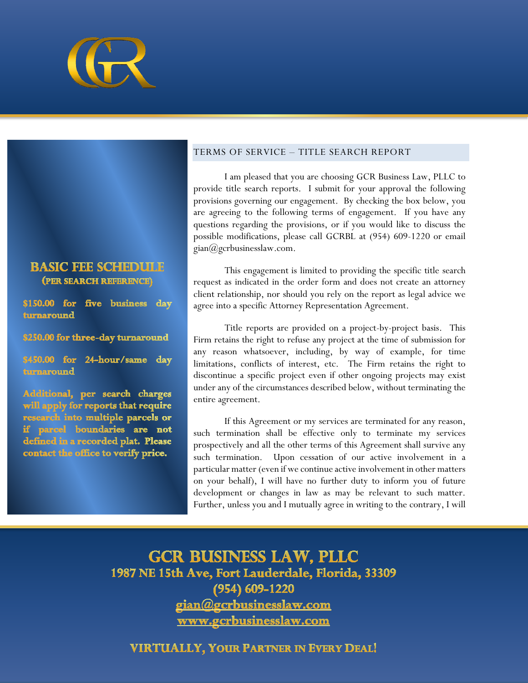

# **BASIC FEE SCHEDULE**

(PER SEARCH REFERENCE)

\$150.00 for five business day turnaround

\$250.00 for three-day turnaround

\$450.00 for 24-hour/same day turnaround

Additional, per search charges will apply for reports that require research into multiple parcels or if parcel boundaries are not defined in a recorded plat. Please contact the office to verify price.

#### TERMS OF SERVICE – TITLE SEARCH REPORT

I am pleased that you are choosing GCR Business Law, PLLC to provide title search reports. I submit for your approval the following provisions governing our engagement. By checking the box below, you are agreeing to the following terms of engagement. If you have any questions regarding the provisions, or if you would like to discuss the possible modifications, please call GCRBL at (954) 609-1220 or email gian@gcrbusinesslaw.com.

This engagement is limited to providing the specific title search request as indicated in the order form and does not create an attorney client relationship, nor should you rely on the report as legal advice we agree into a specific Attorney Representation Agreement.

Title reports are provided on a project-by-project basis. This Firm retains the right to refuse any project at the time of submission for any reason whatsoever, including, by way of example, for time limitations, conflicts of interest, etc. The Firm retains the right to discontinue a specific project even if other ongoing projects may exist under any of the circumstances described below, without terminating the entire agreement.

If this Agreement or my services are terminated for any reason, such termination shall be effective only to terminate my services prospectively and all the other terms of this Agreement shall survive any such termination. Upon cessation of our active involvement in a particular matter (even if we continue active involvement in other matters on your behalf), I will have no further duty to inform you of future development or changes in law as may be relevant to such matter. Further, unless you and I mutually agree in writing to the contrary, I will

**GCR BUSINESS LAW, PLLC** 1987 NE 15th Ave, Fort Lauderdale, Florida, 33309  $(954)$  609-1220 gian@gcrbusinesslaw.com www.gcrbusinesslaw.com

**VIRTUALLY, YOUR PARTNER IN EVERY DEAL!**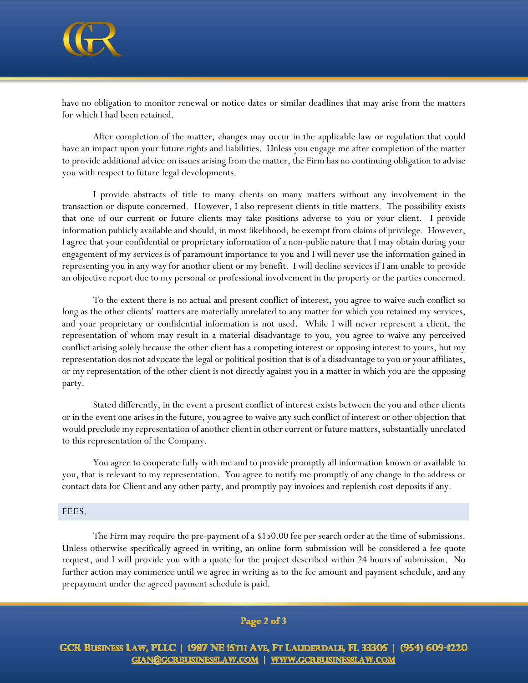

have no obligation to monitor renewal or notice dates or similar deadlines that may arise from the matters for which I had been retained.

After completion of the matter, changes may occur in the applicable law or regulation that could have an impact upon your future rights and liabilities. Unless you engage me after completion of the matter to provide additional advice on issues arising from the matter, the Firm has no continuing obligation to advise you with respect to future legal developments.

I provide abstracts of title to many clients on many matters without any involvement in the transaction or dispute concerned. However, I also represent clients in title matters. The possibility exists that one of our current or future clients may take positions adverse to you or your client. I provide information publicly available and should, in most likelihood, be exempt from claims of privilege. However, I agree that your confidential or proprietary information of a non-public nature that I may obtain during your engagement of my services is of paramount importance to you and I will never use the information gained in representing you in any way for another client or my benefit. I will decline services if I am unable to provide an objective report due to my personal or professional involvement in the property or the parties concerned.

To the extent there is no actual and present conflict of interest, you agree to waive such conflict so long as the other clients' matters are materially unrelated to any matter for which you retained my services, and your proprietary or confidential information is not used. While I will never represent a client, the representation of whom may result in a material disadvantage to you, you agree to waive any perceived conflict arising solely because the other client has a competing interest or opposing interest to yours, but my representation dos not advocate the legal or political position that is of a disadvantage to you or your affiliates, or my representation of the other client is not directly against you in a matter in which you are the opposing party.

Stated differently, in the event a present conflict of interest exists between the you and other clients or in the event one arises in the future, you agree to waive any such conflict of interest or other objection that would preclude my representation of another client in other current or future matters, substantially unrelated to this representation of the Company.

You agree to cooperate fully with me and to provide promptly all information known or available to you, that is relevant to my representation. You agree to notify me promptly of any change in the address or contact data for Client and any other party, and promptly pay invoices and replenish cost deposits if any.

#### FEES.

The Firm may require the pre-payment of a \$150.00 fee per search order at the time of submissions. Unless otherwise specifically agreed in writing, an online form submission will be considered a fee quote request, and I will provide you with a quote for the project described within 24 hours of submission. No further action may commence until we agree in writing as to the fee amount and payment schedule, and any prepayment under the agreed payment schedule is paid.

## Page 2 of 3

GCR Business Law, PLLC | 1987 NE 15th Ave, Ft Lauderdale, FL 33305 | (954) 609-1220 GIAN@GCRBUSINESSLAW.COM | WWW.GCRBUSINESSLAW.COM